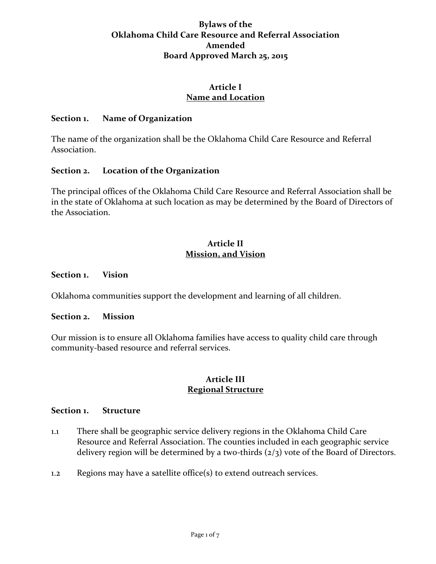# **Bylaws of the Oklahoma Child Care Resource and Referral Association Amended Board Approved March 25, 2015**

## **Article I Name and Location**

### **Section 1. Name of Organization**

The name of the organization shall be the Oklahoma Child Care Resource and Referral Association.

## **Section 2. Location of the Organization**

The principal offices of the Oklahoma Child Care Resource and Referral Association shall be in the state of Oklahoma at such location as may be determined by the Board of Directors of the Association.

## **Article II Mission, and Vision**

#### **Section 1. Vision**

Oklahoma communities support the development and learning of all children.

#### **Section 2. Mission**

Our mission is to ensure all Oklahoma families have access to quality child care through community-based resource and referral services.

## **Article III Regional Structure**

### **Section 1. Structure**

- 1.1 There shall be geographic service delivery regions in the Oklahoma Child Care Resource and Referral Association. The counties included in each geographic service delivery region will be determined by a two-thirds  $(2/3)$  vote of the Board of Directors.
- 1.2 Regions may have a satellite office(s) to extend outreach services.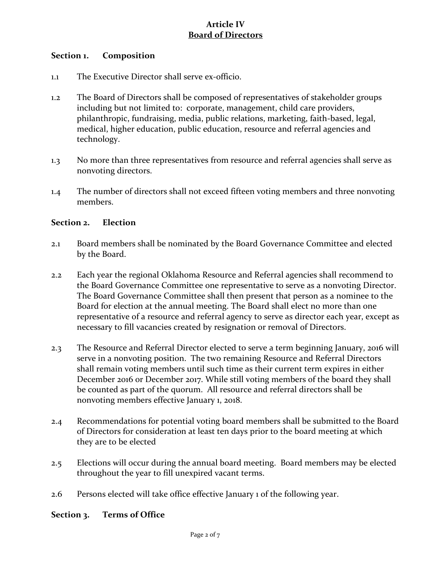# **Article IV Board of Directors**

### **Section 1. Composition**

- 1.1 The Executive Director shall serve ex-officio.
- 1.2 The Board of Directors shall be composed of representatives of stakeholder groups including but not limited to: corporate, management, child care providers, philanthropic, fundraising, media, public relations, marketing, faith-based, legal, medical, higher education, public education, resource and referral agencies and technology.
- 1.3 No more than three representatives from resource and referral agencies shall serve as nonvoting directors.
- 1.4 The number of directors shall not exceed fifteen voting members and three nonvoting members.

### **Section 2. Election**

- 2.1 Board members shall be nominated by the Board Governance Committee and elected by the Board.
- 2.2 Each year the regional Oklahoma Resource and Referral agencies shall recommend to the Board Governance Committee one representative to serve as a nonvoting Director. The Board Governance Committee shall then present that person as a nominee to the Board for election at the annual meeting. The Board shall elect no more than one representative of a resource and referral agency to serve as director each year, except as necessary to fill vacancies created by resignation or removal of Directors.
- 2.3 The Resource and Referral Director elected to serve a term beginning January, 2016 will serve in a nonvoting position. The two remaining Resource and Referral Directors shall remain voting members until such time as their current term expires in either December 2016 or December 2017. While still voting members of the board they shall be counted as part of the quorum. All resource and referral directors shall be nonvoting members effective January 1, 2018.
- 2.4 Recommendations for potential voting board members shall be submitted to the Board of Directors for consideration at least ten days prior to the board meeting at which they are to be elected
- 2.5 Elections will occur during the annual board meeting. Board members may be elected throughout the year to fill unexpired vacant terms.
- 2.6 Persons elected will take office effective January 1 of the following year.

## **Section 3. Terms of Office**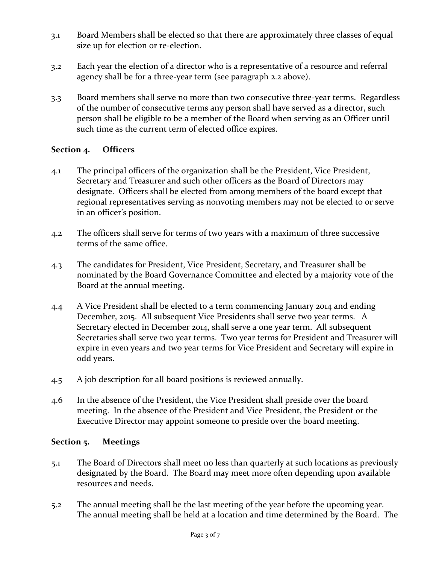- 3.1 Board Members shall be elected so that there are approximately three classes of equal size up for election or re-election.
- 3.2 Each year the election of a director who is a representative of a resource and referral agency shall be for a three-year term (see paragraph 2.2 above).
- 3.3 Board members shall serve no more than two consecutive three-year terms. Regardless of the number of consecutive terms any person shall have served as a director, such person shall be eligible to be a member of the Board when serving as an Officer until such time as the current term of elected office expires.

## **Section 4. Officers**

- 4.1 The principal officers of the organization shall be the President, Vice President, Secretary and Treasurer and such other officers as the Board of Directors may designate. Officers shall be elected from among members of the board except that regional representatives serving as nonvoting members may not be elected to or serve in an officer's position.
- 4.2 The officers shall serve for terms of two years with a maximum of three successive terms of the same office.
- 4.3 The candidates for President, Vice President, Secretary, and Treasurer shall be nominated by the Board Governance Committee and elected by a majority vote of the Board at the annual meeting.
- 4.4 A Vice President shall be elected to a term commencing January 2014 and ending December, 2015. All subsequent Vice Presidents shall serve two year terms. A Secretary elected in December 2014, shall serve a one year term. All subsequent Secretaries shall serve two year terms. Two year terms for President and Treasurer will expire in even years and two year terms for Vice President and Secretary will expire in odd years.
- 4.5 A job description for all board positions is reviewed annually.
- 4.6 In the absence of the President, the Vice President shall preside over the board meeting. In the absence of the President and Vice President, the President or the Executive Director may appoint someone to preside over the board meeting.

## **Section 5. Meetings**

- 5.1 The Board of Directors shall meet no less than quarterly at such locations as previously designated by the Board. The Board may meet more often depending upon available resources and needs.
- 5.2 The annual meeting shall be the last meeting of the year before the upcoming year. The annual meeting shall be held at a location and time determined by the Board. The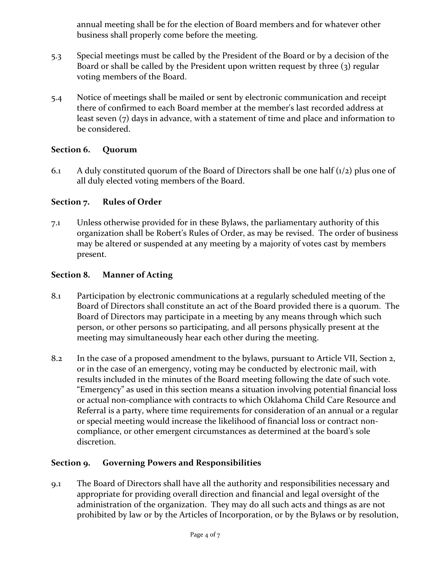annual meeting shall be for the election of Board members and for whatever other business shall properly come before the meeting.

- 5.3 Special meetings must be called by the President of the Board or by a decision of the Board or shall be called by the President upon written request by three (3) regular voting members of the Board.
- 5.4 Notice of meetings shall be mailed or sent by electronic communication and receipt there of confirmed to each Board member at the member's last recorded address at least seven (7) days in advance, with a statement of time and place and information to be considered.

# **Section 6. Quorum**

6.1 A duly constituted quorum of the Board of Directors shall be one half  $(1/2)$  plus one of all duly elected voting members of the Board.

# **Section 7. Rules of Order**

7.1 Unless otherwise provided for in these Bylaws, the parliamentary authority of this organization shall be Robert's Rules of Order, as may be revised. The order of business may be altered or suspended at any meeting by a majority of votes cast by members present.

## **Section 8. Manner of Acting**

- 8.1 Participation by electronic communications at a regularly scheduled meeting of the Board of Directors shall constitute an act of the Board provided there is a quorum. The Board of Directors may participate in a meeting by any means through which such person, or other persons so participating, and all persons physically present at the meeting may simultaneously hear each other during the meeting.
- 8.2 In the case of a proposed amendment to the bylaws, pursuant to Article VII, Section 2, or in the case of an emergency, voting may be conducted by electronic mail, with results included in the minutes of the Board meeting following the date of such vote. "Emergency" as used in this section means a situation involving potential financial loss or actual non-compliance with contracts to which Oklahoma Child Care Resource and Referral is a party, where time requirements for consideration of an annual or a regular or special meeting would increase the likelihood of financial loss or contract noncompliance, or other emergent circumstances as determined at the board's sole discretion.

## **Section 9. Governing Powers and Responsibilities**

9.1 The Board of Directors shall have all the authority and responsibilities necessary and appropriate for providing overall direction and financial and legal oversight of the administration of the organization. They may do all such acts and things as are not prohibited by law or by the Articles of Incorporation, or by the Bylaws or by resolution,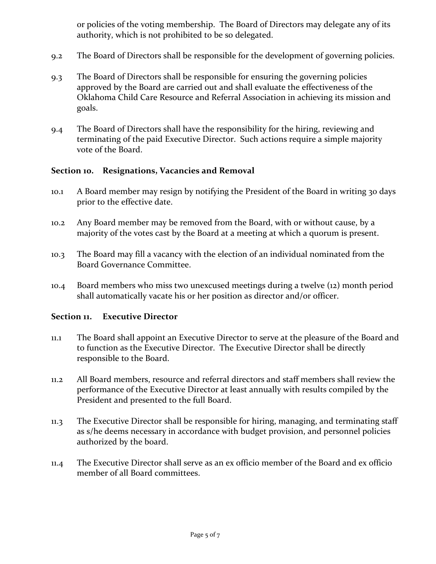or policies of the voting membership. The Board of Directors may delegate any of its authority, which is not prohibited to be so delegated.

- 9.2 The Board of Directors shall be responsible for the development of governing policies.
- 9.3 The Board of Directors shall be responsible for ensuring the governing policies approved by the Board are carried out and shall evaluate the effectiveness of the Oklahoma Child Care Resource and Referral Association in achieving its mission and goals.
- 9.4 The Board of Directors shall have the responsibility for the hiring, reviewing and terminating of the paid Executive Director. Such actions require a simple majority vote of the Board.

### **Section 10. Resignations, Vacancies and Removal**

- 10.1 A Board member may resign by notifying the President of the Board in writing 30 days prior to the effective date.
- 10.2 Any Board member may be removed from the Board, with or without cause, by a majority of the votes cast by the Board at a meeting at which a quorum is present.
- 10.3 The Board may fill a vacancy with the election of an individual nominated from the Board Governance Committee.
- 10.4 Board members who miss two unexcused meetings during a twelve (12) month period shall automatically vacate his or her position as director and/or officer.

## **Section 11. Executive Director**

- 11.1 The Board shall appoint an Executive Director to serve at the pleasure of the Board and to function as the Executive Director. The Executive Director shall be directly responsible to the Board.
- 11.2 All Board members, resource and referral directors and staff members shall review the performance of the Executive Director at least annually with results compiled by the President and presented to the full Board.
- 11.3 The Executive Director shall be responsible for hiring, managing, and terminating staff as s/he deems necessary in accordance with budget provision, and personnel policies authorized by the board.
- 11.4 The Executive Director shall serve as an ex officio member of the Board and ex officio member of all Board committees.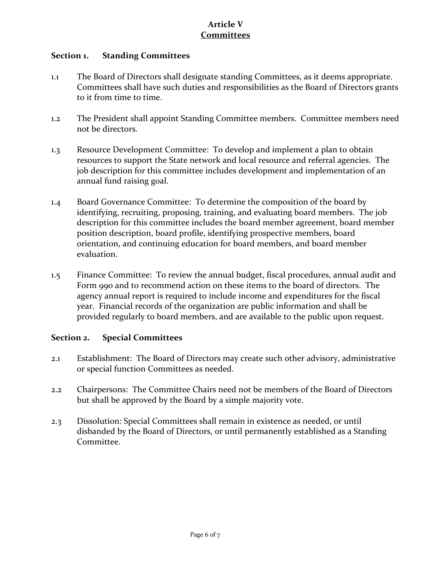# **Article V Committees**

### **Section 1. Standing Committees**

- 1.1 The Board of Directors shall designate standing Committees, as it deems appropriate. Committees shall have such duties and responsibilities as the Board of Directors grants to it from time to time.
- 1.2 The President shall appoint Standing Committee members. Committee members need not be directors.
- 1.3 Resource Development Committee: To develop and implement a plan to obtain resources to support the State network and local resource and referral agencies. The job description for this committee includes development and implementation of an annual fund raising goal.
- 1.4 Board Governance Committee: To determine the composition of the board by identifying, recruiting, proposing, training, and evaluating board members. The job description for this committee includes the board member agreement, board member position description, board profile, identifying prospective members, board orientation, and continuing education for board members, and board member evaluation.
- 1.5 Finance Committee: To review the annual budget, fiscal procedures, annual audit and Form 990 and to recommend action on these items to the board of directors. The agency annual report is required to include income and expenditures for the fiscal year. Financial records of the organization are public information and shall be provided regularly to board members, and are available to the public upon request.

## **Section 2. Special Committees**

- 2.1 Establishment: The Board of Directors may create such other advisory, administrative or special function Committees as needed.
- 2.2 Chairpersons: The Committee Chairs need not be members of the Board of Directors but shall be approved by the Board by a simple majority vote.
- 2.3 Dissolution: Special Committees shall remain in existence as needed, or until disbanded by the Board of Directors, or until permanently established as a Standing Committee.